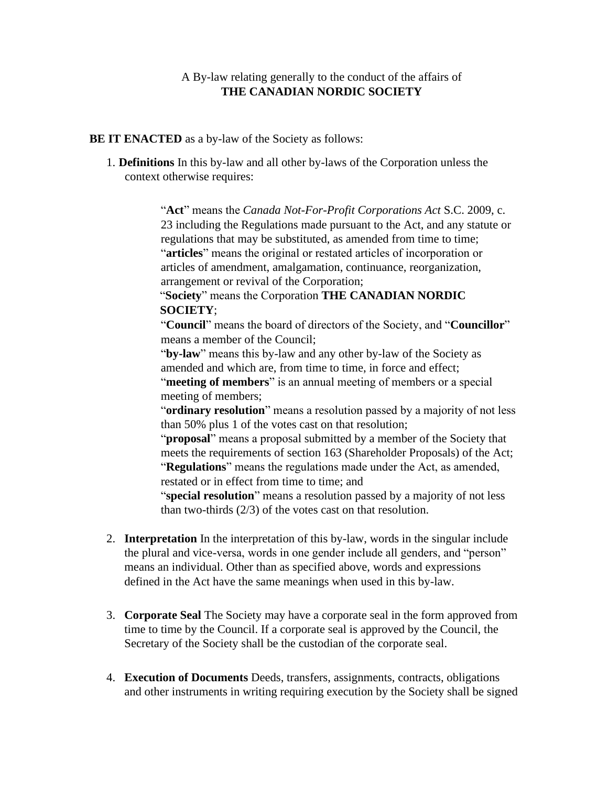## A By-law relating generally to the conduct of the affairs of **THE CANADIAN NORDIC SOCIETY**

## **BE IT ENACTED** as a by-law of the Society as follows:

1. **Definitions** In this by-law and all other by-laws of the Corporation unless the context otherwise requires:

> "**Act**" means the *Canada Not-For-Profit Corporations Act* S.C. 2009, c. 23 including the Regulations made pursuant to the Act, and any statute or regulations that may be substituted, as amended from time to time; "**articles**" means the original or restated articles of incorporation or articles of amendment, amalgamation, continuance, reorganization, arrangement or revival of the Corporation;

"**Society**" means the Corporation **THE CANADIAN NORDIC SOCIETY**;

"**Council**" means the board of directors of the Society, and "**Councillor**" means a member of the Council;

"**by-law**" means this by-law and any other by-law of the Society as amended and which are, from time to time, in force and effect;

"**meeting of members**" is an annual meeting of members or a special meeting of members;

"**ordinary resolution**" means a resolution passed by a majority of not less than 50% plus 1 of the votes cast on that resolution;

"**proposal**" means a proposal submitted by a member of the Society that meets the requirements of section 163 (Shareholder Proposals) of the Act; "**Regulations**" means the regulations made under the Act, as amended, restated or in effect from time to time; and

"**special resolution**" means a resolution passed by a majority of not less than two-thirds (2/3) of the votes cast on that resolution.

- 2. **Interpretation** In the interpretation of this by-law, words in the singular include the plural and vice-versa, words in one gender include all genders, and "person" means an individual. Other than as specified above, words and expressions defined in the Act have the same meanings when used in this by-law.
- 3. **Corporate Seal** The Society may have a corporate seal in the form approved from time to time by the Council. If a corporate seal is approved by the Council, the Secretary of the Society shall be the custodian of the corporate seal.
- 4. **Execution of Documents** Deeds, transfers, assignments, contracts, obligations and other instruments in writing requiring execution by the Society shall be signed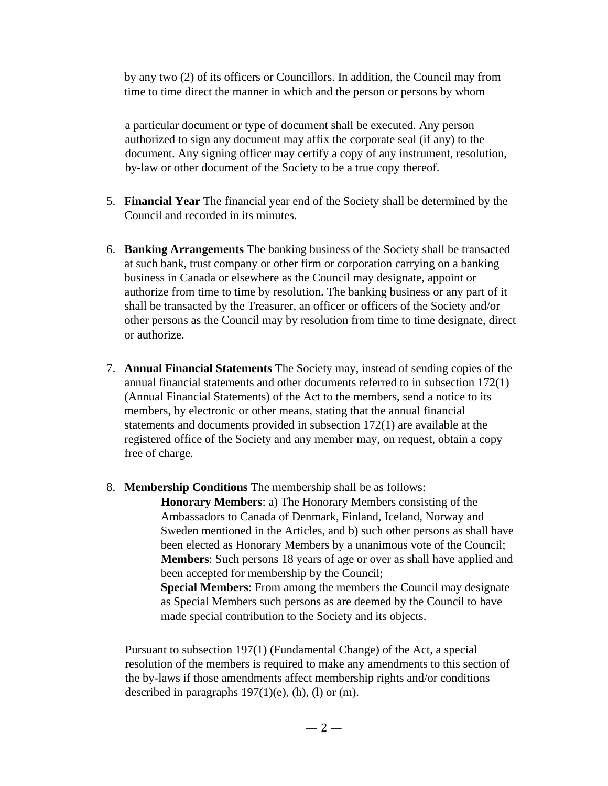by any two (2) of its officers or Councillors. In addition, the Council may from time to time direct the manner in which and the person or persons by whom

a particular document or type of document shall be executed. Any person authorized to sign any document may affix the corporate seal (if any) to the document. Any signing officer may certify a copy of any instrument, resolution, by-law or other document of the Society to be a true copy thereof.

- 5. **Financial Year** The financial year end of the Society shall be determined by the Council and recorded in its minutes.
- 6. **Banking Arrangements** The banking business of the Society shall be transacted at such bank, trust company or other firm or corporation carrying on a banking business in Canada or elsewhere as the Council may designate, appoint or authorize from time to time by resolution. The banking business or any part of it shall be transacted by the Treasurer, an officer or officers of the Society and/or other persons as the Council may by resolution from time to time designate, direct or authorize.
- 7. **Annual Financial Statements** The Society may, instead of sending copies of the annual financial statements and other documents referred to in subsection 172(1) (Annual Financial Statements) of the Act to the members, send a notice to its members, by electronic or other means, stating that the annual financial statements and documents provided in subsection 172(1) are available at the registered office of the Society and any member may, on request, obtain a copy free of charge.
- 8. **Membership Conditions** The membership shall be as follows:

**Honorary Members**: a) The Honorary Members consisting of the Ambassadors to Canada of Denmark, Finland, Iceland, Norway and Sweden mentioned in the Articles, and b) such other persons as shall have been elected as Honorary Members by a unanimous vote of the Council; **Members**: Such persons 18 years of age or over as shall have applied and been accepted for membership by the Council; **Special Members**: From among the members the Council may designate as Special Members such persons as are deemed by the Council to have made special contribution to the Society and its objects.

Pursuant to subsection 197(1) (Fundamental Change) of the Act, a special resolution of the members is required to make any amendments to this section of the by-laws if those amendments affect membership rights and/or conditions described in paragraphs  $197(1)(e)$ , (h), (l) or (m).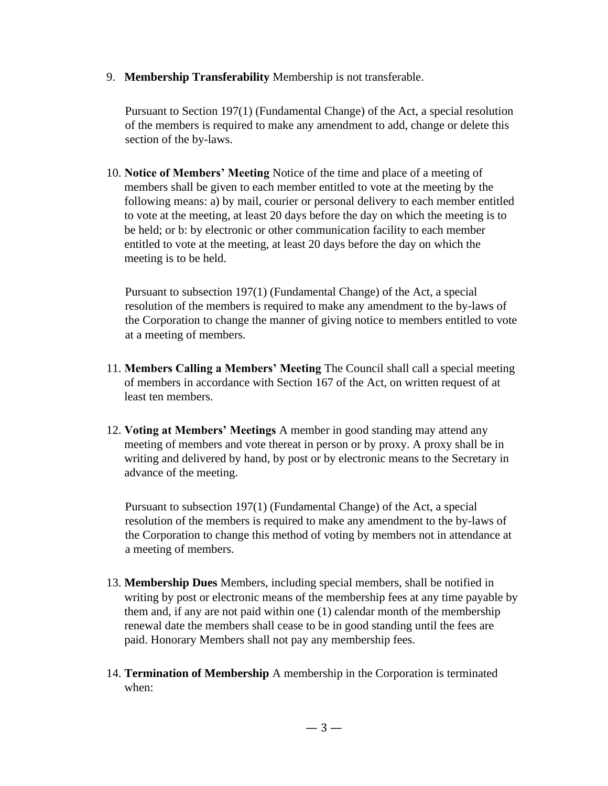9. **Membership Transferability** Membership is not transferable.

Pursuant to Section 197(1) (Fundamental Change) of the Act, a special resolution of the members is required to make any amendment to add, change or delete this section of the by-laws.

10. **Notice of Members' Meeting** Notice of the time and place of a meeting of members shall be given to each member entitled to vote at the meeting by the following means: a) by mail, courier or personal delivery to each member entitled to vote at the meeting, at least 20 days before the day on which the meeting is to be held; or b: by electronic or other communication facility to each member entitled to vote at the meeting, at least 20 days before the day on which the meeting is to be held.

Pursuant to subsection 197(1) (Fundamental Change) of the Act, a special resolution of the members is required to make any amendment to the by-laws of the Corporation to change the manner of giving notice to members entitled to vote at a meeting of members.

- 11. **Members Calling a Members' Meeting** The Council shall call a special meeting of members in accordance with Section 167 of the Act, on written request of at least ten members.
- 12. **Voting at Members' Meetings** A member in good standing may attend any meeting of members and vote thereat in person or by proxy. A proxy shall be in writing and delivered by hand, by post or by electronic means to the Secretary in advance of the meeting.

Pursuant to subsection 197(1) (Fundamental Change) of the Act, a special resolution of the members is required to make any amendment to the by-laws of the Corporation to change this method of voting by members not in attendance at a meeting of members.

- 13. **Membership Dues** Members, including special members, shall be notified in writing by post or electronic means of the membership fees at any time payable by them and, if any are not paid within one (1) calendar month of the membership renewal date the members shall cease to be in good standing until the fees are paid. Honorary Members shall not pay any membership fees.
- 14. **Termination of Membership** A membership in the Corporation is terminated when: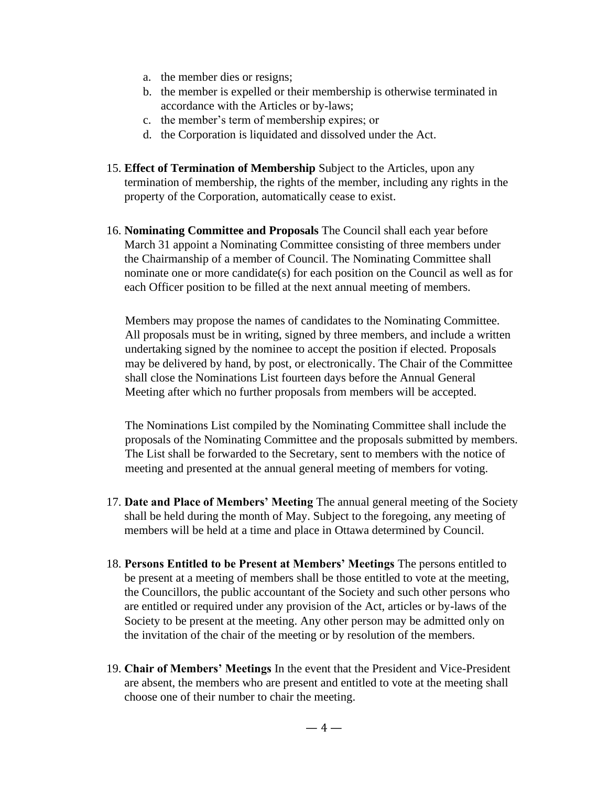- a. the member dies or resigns;
- b. the member is expelled or their membership is otherwise terminated in accordance with the Articles or by-laws;
- c. the member's term of membership expires; or
- d. the Corporation is liquidated and dissolved under the Act.
- 15. **Effect of Termination of Membership** Subject to the Articles, upon any termination of membership, the rights of the member, including any rights in the property of the Corporation, automatically cease to exist.
- 16. **Nominating Committee and Proposals** The Council shall each year before March 31 appoint a Nominating Committee consisting of three members under the Chairmanship of a member of Council. The Nominating Committee shall nominate one or more candidate(s) for each position on the Council as well as for each Officer position to be filled at the next annual meeting of members.

Members may propose the names of candidates to the Nominating Committee. All proposals must be in writing, signed by three members, and include a written undertaking signed by the nominee to accept the position if elected. Proposals may be delivered by hand, by post, or electronically. The Chair of the Committee shall close the Nominations List fourteen days before the Annual General Meeting after which no further proposals from members will be accepted.

The Nominations List compiled by the Nominating Committee shall include the proposals of the Nominating Committee and the proposals submitted by members. The List shall be forwarded to the Secretary, sent to members with the notice of meeting and presented at the annual general meeting of members for voting.

- 17. **Date and Place of Members' Meeting** The annual general meeting of the Society shall be held during the month of May. Subject to the foregoing, any meeting of members will be held at a time and place in Ottawa determined by Council.
- 18. **Persons Entitled to be Present at Members' Meetings** The persons entitled to be present at a meeting of members shall be those entitled to vote at the meeting, the Councillors, the public accountant of the Society and such other persons who are entitled or required under any provision of the Act, articles or by-laws of the Society to be present at the meeting. Any other person may be admitted only on the invitation of the chair of the meeting or by resolution of the members.
- 19. **Chair of Members' Meetings** In the event that the President and Vice-President are absent, the members who are present and entitled to vote at the meeting shall choose one of their number to chair the meeting.

 $-4-$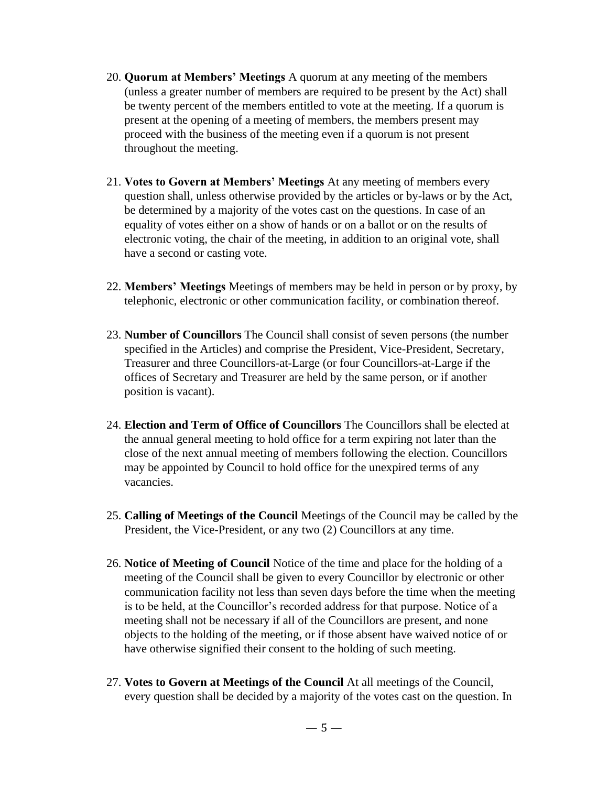- 20. **Quorum at Members' Meetings** A quorum at any meeting of the members (unless a greater number of members are required to be present by the Act) shall be twenty percent of the members entitled to vote at the meeting. If a quorum is present at the opening of a meeting of members, the members present may proceed with the business of the meeting even if a quorum is not present throughout the meeting.
- 21. **Votes to Govern at Members' Meetings** At any meeting of members every question shall, unless otherwise provided by the articles or by-laws or by the Act, be determined by a majority of the votes cast on the questions. In case of an equality of votes either on a show of hands or on a ballot or on the results of electronic voting, the chair of the meeting, in addition to an original vote, shall have a second or casting vote.
- 22. **Members' Meetings** Meetings of members may be held in person or by proxy, by telephonic, electronic or other communication facility, or combination thereof.
- 23. **Number of Councillors** The Council shall consist of seven persons (the number specified in the Articles) and comprise the President, Vice-President, Secretary, Treasurer and three Councillors-at-Large (or four Councillors-at-Large if the offices of Secretary and Treasurer are held by the same person, or if another position is vacant).
- 24. **Election and Term of Office of Councillors** The Councillors shall be elected at the annual general meeting to hold office for a term expiring not later than the close of the next annual meeting of members following the election. Councillors may be appointed by Council to hold office for the unexpired terms of any vacancies.
- 25. **Calling of Meetings of the Council** Meetings of the Council may be called by the President, the Vice-President, or any two (2) Councillors at any time.
- 26. **Notice of Meeting of Council** Notice of the time and place for the holding of a meeting of the Council shall be given to every Councillor by electronic or other communication facility not less than seven days before the time when the meeting is to be held, at the Councillor's recorded address for that purpose. Notice of a meeting shall not be necessary if all of the Councillors are present, and none objects to the holding of the meeting, or if those absent have waived notice of or have otherwise signified their consent to the holding of such meeting.
- 27. **Votes to Govern at Meetings of the Council** At all meetings of the Council, every question shall be decided by a majority of the votes cast on the question. In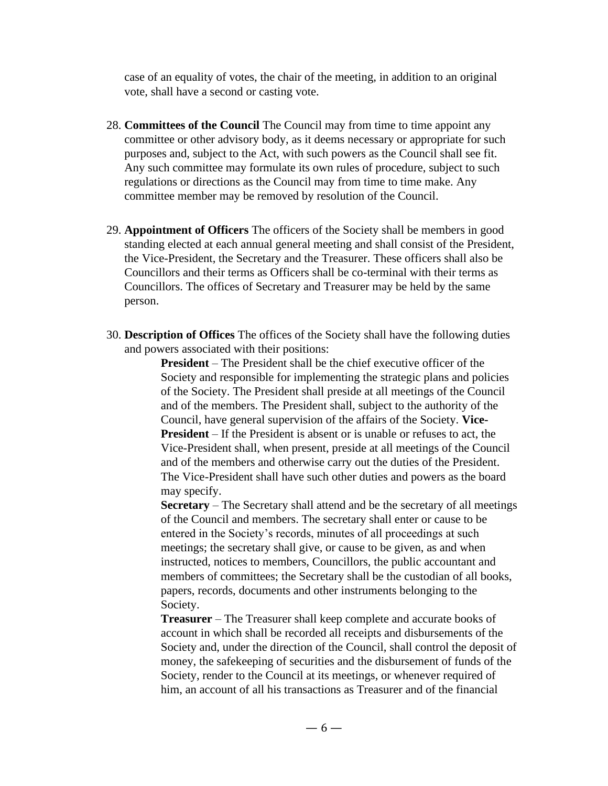case of an equality of votes, the chair of the meeting, in addition to an original vote, shall have a second or casting vote.

- 28. **Committees of the Council** The Council may from time to time appoint any committee or other advisory body, as it deems necessary or appropriate for such purposes and, subject to the Act, with such powers as the Council shall see fit. Any such committee may formulate its own rules of procedure, subject to such regulations or directions as the Council may from time to time make. Any committee member may be removed by resolution of the Council.
- 29. **Appointment of Officers** The officers of the Society shall be members in good standing elected at each annual general meeting and shall consist of the President, the Vice-President, the Secretary and the Treasurer. These officers shall also be Councillors and their terms as Officers shall be co-terminal with their terms as Councillors. The offices of Secretary and Treasurer may be held by the same person.
- 30. **Description of Offices** The offices of the Society shall have the following duties and powers associated with their positions:

**President** – The President shall be the chief executive officer of the Society and responsible for implementing the strategic plans and policies of the Society. The President shall preside at all meetings of the Council and of the members. The President shall, subject to the authority of the Council, have general supervision of the affairs of the Society. **Vice-President** – If the President is absent or is unable or refuses to act, the Vice-President shall, when present, preside at all meetings of the Council and of the members and otherwise carry out the duties of the President. The Vice-President shall have such other duties and powers as the board may specify.

**Secretary** – The Secretary shall attend and be the secretary of all meetings of the Council and members. The secretary shall enter or cause to be entered in the Society's records, minutes of all proceedings at such meetings; the secretary shall give, or cause to be given, as and when instructed, notices to members, Councillors, the public accountant and members of committees; the Secretary shall be the custodian of all books, papers, records, documents and other instruments belonging to the Society.

**Treasurer** – The Treasurer shall keep complete and accurate books of account in which shall be recorded all receipts and disbursements of the Society and, under the direction of the Council, shall control the deposit of money, the safekeeping of securities and the disbursement of funds of the Society, render to the Council at its meetings, or whenever required of him, an account of all his transactions as Treasurer and of the financial